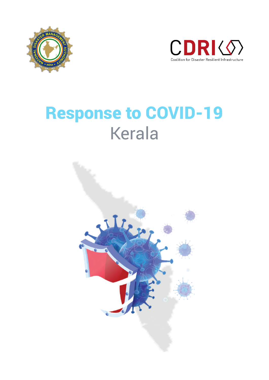



# Response to COVID-19 Kerala

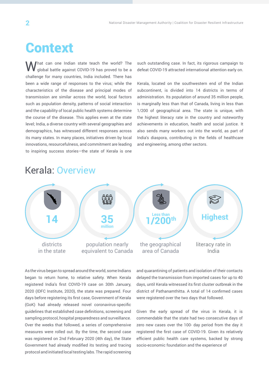# **Context**

What can one Indian state teach the world? The global battle against COVID-19 has proved to be a challenge for many countries, India included. There has been a wide range of responses to the virus; while the characteristics of the disease and principal modes of transmission are similar across the world, local factors such as population density, patterns of social interaction and the capability of local public health systems determine the course of the disease. This applies even at the state level; India, a diverse country with several geographies and demographics, has witnessed different responses across its many states. In many places, initiatives driven by local innovations, resourcefulness, and commitment are leading to inspiring success stories—the state of Kerala is one

such outstanding case. In fact, its rigorous campaign to defeat COVID-19 attracted international attention early on.

Kerala, located on the southwestern end of the Indian subcontinent, is divided into 14 districts in terms of administration. Its population of around 35 million people, is marginally less than that of Canada, living in less than 1/200 of geographical area. The state is unique, with the highest literacy rate in the country and noteworthy achievements in education, health and social justice. It also sends many workers out into the world, as part of India's diaspora, contributing in the fields of healthcare and engineering, among other sectors.

### Kerala: Overview



As the virus began to spread around the world, some Indians began to return home, to relative safety. When Kerala registered India's first COVID-19 case on 30th January, 2020 (IDFC Institute, 2020), the state was prepared. Four days before registering its first case, Government of Kerala (GoK) had already released novel coronavirus-specific guidelines that established case definitions, screening and sampling protocol, hospital preparedness and surveillance. Over the weeks that followed, a series of comprehensive measures were rolled out. By the time, the second case was registered on 2nd February 2020 (4th day), the State Government had already modified its testing and tracing protocol and initiated local testing labs. The rapid screening

and quarantining of patients and isolation of their contacts delayed the transmission from imported cases for up to 40 days, until Kerala witnessed its first cluster outbreak in the district of Pathanamthitta. A total of 14 confirmed cases were registered over the two days that followed.

Given the early spread of the virus in Kerala, it is commendable that the state had two consecutive days of zero new cases over the 100- day period from the day it registered the first case of COVID-19. Given its relatively efficient public health care systems, backed by strong socio-economic foundation and the experience of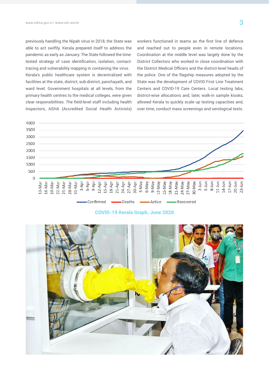previously handling the Nipah virus in 2018, the State was able to act swiftly. Kerala prepared itself to address the pandemic as early as January. The State followed the timetested strategy of case identification, isolation, contacttracing and vulnerability mapping in containing the virus. Kerala's public healthcare system is decentralized with facilities at the state, district, sub-district, panchayath, and ward level. Government hospitals at all levels, from the primary health centres to the medical colleges, were given clear responsibilities. The field-level staff including health inspectors, ASHA (Accredited Social Health Activists)

workers functioned in teams as the first line of defence and reached out to people even in remote locations. Coordination at the middle level was largely done by the District Collectors who worked in close coordination with the District Medical Officers and the district-level heads of the police. One of the flagship measures adopted by the State was the development of COVID First Line Treatment Centers and COVID-19 Care Centers. Local testing labs, district-wise allocations and, later, walk-in sample kiosks, allowed Kerala to quickly scale up testing capacities and, over time, conduct mass screenings and serological tests.



COVID-19 Kerala Graph, June 2020

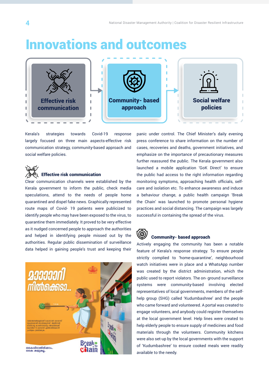### Innovations and outcomes



Kerala's strategies towards Covid-19 response largely focused on three main aspects-effective risk communication strategy, community-based approach and social welfare policies.



Clear communication channels were established by the Kerala government to inform the public, check media speculations, attend to the needs of people home quarantined and dispel fake news. Graphically represented route maps of Covid- 19 patients were publicized to identify people who may have been exposed to the virus, to quarantine them immediately. It proved to be very effective as it nudged concerned people to approach the authorities and helped in identifying people missed out by the authorities. Regular public dissemination of surveillance data helped in gaining people's trust and keeping their



panic under control. The Chief Minister's daily evening press conference to share information on the number of cases, recoveries and deaths, government initiatives, and emphasize on the importance of precautionary measures further reassured the public. The Kerala government also launched a mobile application 'GoK Direct' to ensure the public had access to the right information regarding monitoring symptoms, approaching health officials, selfcare and isolation etc. To enhance awareness and induce a behaviour change, a public health campaign 'Break the Chain' was launched to promote personal hygiene practices and social distancing. The campaign was largely successful in containing the spread of the virus.



#### Community- based approach

Actively engaging the community has been a notable feature of Kerala's response strategy. To ensure people strictly complied to 'home-quarantine', neighbourhood watch initiatives were in place and a WhatsApp number was created by the district administration, which the public used to report violators. The on- ground surveillance systems were community-based involving elected representatives of local governments, members of the selfhelp group (SHG) called 'Kudumbashree' and the people who came forward and volunteered. A portal was created to engage volunteers, and anybody could register themselves at the local government level. Help lines were created to help elderly people to ensure supply of medicines and food materials through the volunteers. Community kitchens were also set-up by the local governments with the support of 'Kudumbashree' to ensure cooked meals were readily available to the needy.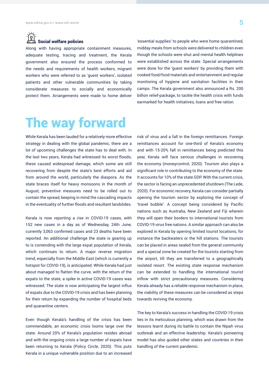### $\widehat{\Omega}$  :  $\widehat{\Omega}$  : Social welfare policies

Along with having appropriate containment measures, adequate testing, tracing and treatment, the Kerala government also ensured the process conformed to the needs and requirements of health workers, migrant workers who were referred to as 'guest workers', isolated patients and other vulnerable communities by taking considerate measures to socially and economically protect them. Arrangements were made to home deliver

'essential supplies' to people who were home quarantined, midday meals from schools were delivered to children even though the schools were shut and mental health helplines were established across the state. Special arrangements were done for the 'guest workers' by providing them with cooked food/food materials and entertainment and regular monitoring of hygiene and sanitation facilities in their camps. The Kerala government also announced a Rs. 200 billion relief-package, to tackle the health crisis with funds earmarked for health initiatives, loans and free ration.

# The way forward

While Kerala has been lauded for a relatively more effective strategy in dealing with the global pandemic, there are a lot of upcoming challenges the state has to deal with. In the last two years, Kerala had witnessed its worst floods; these caused widespread damage, which some are still recovering from despite the state's best efforts and aid from around the world, particularly the diaspora. As the state braces itself for heavy monsoons in the month of August, preventive measures need to be rolled out to contain the spread, keeping in mind the cascading impacts in the eventuality of further floods and resultant landslides.

Kerala is now reporting a rise in COVID-19 cases, with 152 new cases in a day as of Wednesday, 24th June; currently 3,063 confirmed cases and 23 deaths have been reported. An additional challenge the state is gearing up to is contending with the large expat population of Kerala, which continues to return. A major reverse migration trend, especially from the Middle East (which is currently a hotspot for COVID-19), is anticipated. While Kerala had just about managed to flatten the curve, with the return of the expats to the state, a spike in active COVID-19 cases was witnessed. The state is now anticipating the largest influx of expats due to the COVID-19 crisis and has been planning for their return by expanding the number of hospital beds and quarantine centers.

Even though Kerala's handling of the crisis has been commendable, an economic crisis looms large over the state. Around 20% of Kerala's population resides abroad and with the ongoing crisis a large number of expats have been returning to Kerala (Policy Circle, 2020). This puts Kerala in a unique vulnerable position due to an increased

risk of virus and a fall in the foreign remittances. Foreign remittances account for one-third of Kerala's economy and with 15-20% fall in remittances being predicted this year, Kerala will face serious challenges in recovering the economy (moneycontrol, 2020). Tourism also plays a significant role in contributing to the economy of the state. It accounts for 10% of the state GDP. With the current crisis, the sector is facing an unprecedented shutdown (The Lede, 2020). For economic recovery, Kerala can consider partially opening the tourism sector by exploring the concept of 'travel bubble'. A concept being considered by Pacific nations such as Australia, New Zealand and Fiji wherein they will open their borders to international tourists from COVID-19 virus free nations. A similar approach can also be explored in Kerala by opening limited tourist locations, for instance the backwaters or the hill stations. The tourists can be placed in areas sealed from the general community and a special zone be created for the tourists starting from the airport, till they are transferred to a geographically isolated resort. The existing state response mechanism can be extended to handling the international tourist inflow with strict precautionary measures. Considering Kerala already has a reliable response mechanism in place, the viability of these measures can be considered as steps towards reviving the economy.

The key to Kerala's success in handling the COVID-19 crisis lies in its meticulous planning, which was drawn from the lessons learnt during its battle to contain the Nipah virus outbreak and an effective leadership. Kerala's pioneering model has also guided other states and countries in their handling of the current pandemic.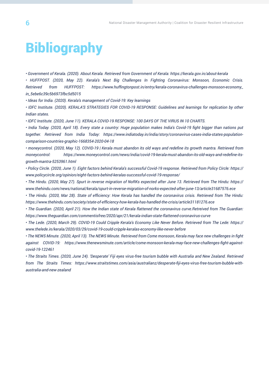# **Bibliography**

*• Government of Kerala. (2020). About Kerala. Retrieved from Government of Kerala: https://kerala.gov.in/about-kerala*

*• HUFFPOST. (2020, May 22). Kerala's Next Big Challenges In Fighting Coronavirus: Monsoon, Economic Crisis. Retrieved from HUFFPOST: https://www.huffingtonpost.in/entry/kerala-coronavirus-challenges-monsoon-economy\_ in\_5ebe6c39c5b6973fbc5d5015*

*• Ideas for India. (2020). Kerala's management of Covid-19: Key learnings*

*• IDFC Institute. (2020). KERALA'S STRATEGIES FOR COVID-19 RESPONSE: Guidelines and learnings for replication by other Indian states.* 

*• IDFC Institute. (2020, June 11). KERALA COVID-19 RESPONSE: 100 DAYS OF THE VIRUS IN 10 CHARTS.*

*• India Today. (2020, April 18). Every state a country: Huge population makes India's Covid-19 fight bigger than nations put together. Retrieved from India Today: https://www.indiatoday.in/india/story/coronavirus-cases-india-states-populationcomparison-countries-graphic-1668354-2020-04-18*

*• moneycontrol. (2020, May 12). COVID-19 | Kerala must abandon its old ways and redefine its growth mantra. Retrieved from moneycontrol: https://www.moneycontrol.com/news/india/covid-19-kerala-must-abandon-its-old-ways-and-redefine-itsgrowth-mantra-5253961.html*

*• Policy Circle. (2020, June 1). Eight factors behind Kerala's successful Covid-19 response. Retrieved from Policy Circle: https:// www.policycircle.org/opinion/eight-factors-behind-keralas-successful-covid-19-response/*

*• The Hindu. (2020, May 27). Spurt in reverse migration of NoRKs expected after June 13. Retrieved from The Hindu: https:// www.thehindu.com/news/national/kerala/spurt-in-reverse-migration-of-norks-expected-after-june-13/article31687576.ece*

*• The Hindu. (2020, Mar 28). State of efficiency: How Kerala has handled the coronavirus crisis. Retrieved from The Hindu: https://www.thehindu.com/society/state-of-efficiency-how-kerala-has-handled-the-crisis/article31181276.ece*

*• The Guardian. (2020, April 21). How the Indian state of Kerala flattened the coronavirus curve.Retreived from The Guardian: https://www.theguardian.com/commentisfree/2020/apr/21/kerala-indian-state-flattened-coronavirus-curve*

*• The Lede. (2020, March 29). COVID-19 Could Cripple Kerala's Economy Like Never Before. Retrieved from The Lede: https:// www.thelede.in/kerala/2020/03/29/covid-19-could-cripple-keralas-economy-like-never-before*

*• The NEWS Minute. (2020, April 13). The NEWS Minute. Retrieved from Come monsoon, Kerala may face new challenges in fight against COVID-19: https://www.thenewsminute.com/article/come-monsoon-kerala-may-face-new-challenges-fight-againstcovid-19-122461*

*• The Straits Times. (2020, June 24). 'Desperate' Fiji eyes virus-free tourism bubble with Australia and New Zealand. Retrieved from The Straits Times: https://www.straitstimes.com/asia/australianz/desperate-fiji-eyes-virus-free-tourism-bubble-withaustralia-and-new-zealand*